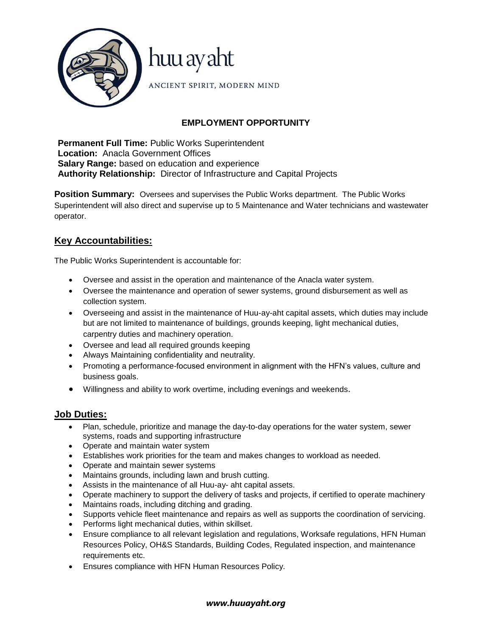

# **EMPLOYMENT OPPORTUNITY**

**Permanent Full Time:** Public Works Superintendent **Location:** Anacla Government Offices **Salary Range:** based on education and experience **Authority Relationship:** Director of Infrastructure and Capital Projects

**Position Summary:** Oversees and supervises the Public Works department. The Public Works Superintendent will also direct and supervise up to 5 Maintenance and Water technicians and wastewater operator.

# **Key Accountabilities:**

The Public Works Superintendent is accountable for:

- Oversee and assist in the operation and maintenance of the Anacla water system.
- Oversee the maintenance and operation of sewer systems, ground disbursement as well as collection system.
- Overseeing and assist in the maintenance of Huu-ay-aht capital assets, which duties may include but are not limited to maintenance of buildings, grounds keeping, light mechanical duties, carpentry duties and machinery operation.
- Oversee and lead all required grounds keeping
- Always Maintaining confidentiality and neutrality.
- Promoting a performance-focused environment in alignment with the HFN's values, culture and business goals.
- Willingness and ability to work overtime, including evenings and weekends.

## **Job Duties:**

- Plan, schedule, prioritize and manage the day-to-day operations for the water system, sewer systems, roads and supporting infrastructure
- Operate and maintain water system
- Establishes work priorities for the team and makes changes to workload as needed.
- Operate and maintain sewer systems
- Maintains grounds, including lawn and brush cutting.
- Assists in the maintenance of all Huu-ay- aht capital assets.
- Operate machinery to support the delivery of tasks and projects, if certified to operate machinery
- Maintains roads, including ditching and grading.
- Supports vehicle fleet maintenance and repairs as well as supports the coordination of servicing.
- Performs light mechanical duties, within skillset.
- Ensure compliance to all relevant legislation and regulations, Worksafe regulations, HFN Human Resources Policy, OH&S Standards, Building Codes, Regulated inspection, and maintenance requirements etc.
- Ensures compliance with HFN Human Resources Policy.

#### *www.huuayaht.org*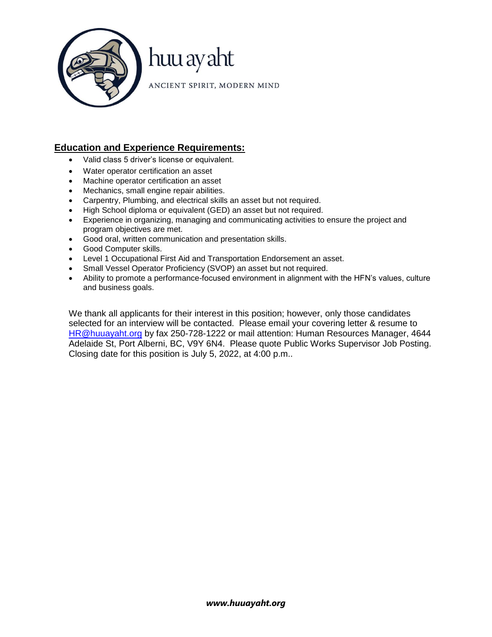

# **Education and Experience Requirements:**

- Valid class 5 driver's license or equivalent.
- Water operator certification an asset
- Machine operator certification an asset
- Mechanics, small engine repair abilities.
- Carpentry, Plumbing, and electrical skills an asset but not required.
- High School diploma or equivalent (GED) an asset but not required.
- Experience in organizing, managing and communicating activities to ensure the project and program objectives are met.
- Good oral, written communication and presentation skills.
- Good Computer skills.
- Level 1 Occupational First Aid and Transportation Endorsement an asset.
- Small Vessel Operator Proficiency (SVOP) an asset but not required.
- Ability to promote a performance-focused environment in alignment with the HFN's values, culture and business goals.

We thank all applicants for their interest in this position; however, only those candidates selected for an interview will be contacted. Please email your covering letter & resume to [HR@huuayaht.org](mailto:HR@huuayaht.org) by fax 250-728-1222 or mail attention: Human Resources Manager, 4644 Adelaide St, Port Alberni, BC, V9Y 6N4. Please quote Public Works Supervisor Job Posting. Closing date for this position is July 5, 2022, at 4:00 p.m..